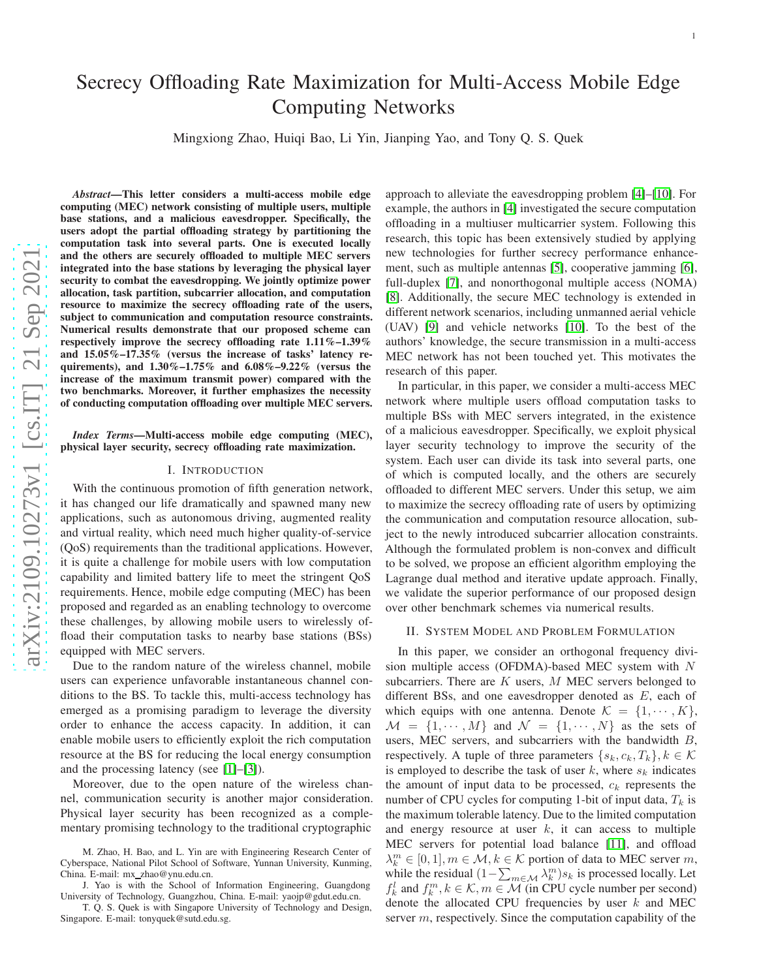# Secrecy Offloading Rate Maximization for Multi-Access Mobile Edge Computing Networks

Mingxiong Zhao, Huiqi Bao, Li Yin, Jianping Yao, and Tony Q. S. Quek

*Abstract*—This letter considers a multi-access mobile edge computing (MEC) network consisting of multiple users, multiple base stations, and a malicious eavesdropper. Specifically, the users adopt the partial offloading strategy by partitioning the computation task into several parts. One is executed locall y and the others are securely offloaded to multiple MEC servers integrated into the base stations by leveraging the physical layer security to combat the eavesdropping. We jointly optimize power allocation, task partition, subcarrier allocation, and computation resource to maximize the secrecy offloading rate of the users , subject to communication and computation resource constraints. Numerical results demonstrate that our proposed scheme can respectively improve the secrecy offloading rate 1.11%–1.39% and 15.05%-17.35% (versus the increase of tasks' latency requirements), and 1.30%–1.75% and 6.08%–9.22% (versus the increase of the maximum transmit power) compared with the two benchmarks. Moreover, it further emphasizes the necessity of conducting computation offloading over multiple MEC servers.

# *Index Terms*—Multi-access mobile edge computing (MEC), physical layer security, secrecy offloading rate maximization.

# I. INTRODUCTION

With the continuous promotion of fifth generation network, it has changed our life dramatically and spawned many new applications, such as autonomous driving, augmented reality and virtual reality, which need much higher quality-of-service (QoS) requirements than the traditional applications. However, it is quite a challenge for mobile users with low computation capability and limited battery life to meet the stringent Qo S requirements. Hence, mobile edge computing (MEC) has been proposed and regarded as an enabling technology to overcome these challenges, by allowing mobile users to wirelessly offload their computation tasks to nearby base stations (BSs) equipped with MEC servers.

Due to the random nature of the wireless channel, mobile users can experience unfavorable instantaneous channel conditions to the BS. To tackle this, multi-access technology has emerged as a promising paradigm to leverage the diversity order to enhance the access capacity. In addition, it can enable mobile users to efficiently exploit the rich computation resource at the BS for reducing the local energy consumption and the processing latency (see [\[1\]](#page-4-0)–[\[3\]](#page-4-1)).

Moreover, due to the open nature of the wireless channel, communication security is another major consideration. Physical layer security has been recognized as a complementary promising technology to the traditional cryptographic

T. Q. S. Quek is with Singapore University of Technology and Design, Singapore. E-mail: tonyquek@sutd.edu.sg.

approach to alleviate the eavesdropping problem [\[4\]](#page-4-2)–[\[10\]](#page-4-3). For example, the authors in [\[4\]](#page-4-2) investigated the secure computation offloading in a multiuser multicarrier system. Following this research, this topic has been extensively studied by applying new technologies for further secrecy performance enhancement, such as multiple antennas [\[5\]](#page-4-4), cooperative jamming [\[6\]](#page-4-5), full-duplex [\[7\]](#page-4-6), and nonorthogonal multiple access (NOMA) [\[8\]](#page-4-7). Additionally, the secure MEC technology is extended in different network scenarios, including unmanned aerial vehicle (UAV) [\[9\]](#page-4-8) and vehicle networks [\[10\]](#page-4-3). To the best of the authors' knowledge, the secure transmission in a multi-access MEC network has not been touched yet. This motivates the research of this paper.

In particular, in this paper, we consider a multi-access MEC network where multiple users offload computation tasks to multiple BSs with MEC servers integrated, in the existence of a malicious eavesdropper. Specifically, we exploit physical layer security technology to improve the security of the system. Each user can divide its task into several parts, one of which is computed locally, and the others are securely offloaded to different MEC servers. Under this setup, we aim to maximize the secrecy offloading rate of users by optimizin g the communication and computation resource allocation, subject to the newly introduced subcarrier allocation constraints. Although the formulated problem is non-convex and difficult to be solved, we propose an efficient algorithm employing the Lagrange dual method and iterative update approach. Finally, we validate the superior performance of our proposed design over other benchmark schemes via numerical results.

## II. SYSTEM MODEL AND PROBLEM FORMULATION

In this paper, we consider an orthogonal frequency division multiple access (OFDMA)-based MEC system with  $N$ subcarriers. There are  $K$  users,  $M$  MEC servers belonged to different BSs, and one eavesdropper denoted as  $E$ , each of which equips with one antenna. Denote  $\mathcal{K} = \{1, \dots, K\},\$  $\mathcal{M} = \{1, \dots, M\}$  and  $\mathcal{N} = \{1, \dots, N\}$  as the sets of users, MEC servers, and subcarriers with the bandwidth  $B$ , respectively. A tuple of three parameters  $\{s_k, c_k, T_k\}, k \in \mathcal{K}$ is employed to describe the task of user  $k$ , where  $s_k$  indicates the amount of input data to be processed,  $c_k$  represents the number of CPU cycles for computing 1-bit of input data,  $T_k$  is the maximum tolerable latency. Due to the limited computation and energy resource at user  $k$ , it can access to multiple MEC servers for potential load balance [\[11\]](#page-4-9), and offload  $\lambda_k^m \in [0, 1], m \in \mathcal{M}, k \in \mathcal{K}$  portion of data to MEC server m, while the residual  $(1 - \sum_{m \in \mathcal{M}} \lambda_k^m) s_k$  is processed locally. Let  $f_k^l$  and  $f_k^m, k \in \mathcal{K}, m \in \mathcal{M}$  (in CPU cycle number per second) denote the allocated CPU frequencies by user  $k$  and MEC server *m*, respectively. Since the computation capability of the

M. Zhao, H. Bao, and L. Yin are with Engineering Research Center of Cyberspace, National Pilot School of Software, Yunnan University, Kunming, China. E-mail: mx zhao@ynu.edu.cn.

J. Yao is with the School of Information Engineering, Guangdong University of Technology, Guangzhou, China. E-mail: yaojp@gdut.edu.cn.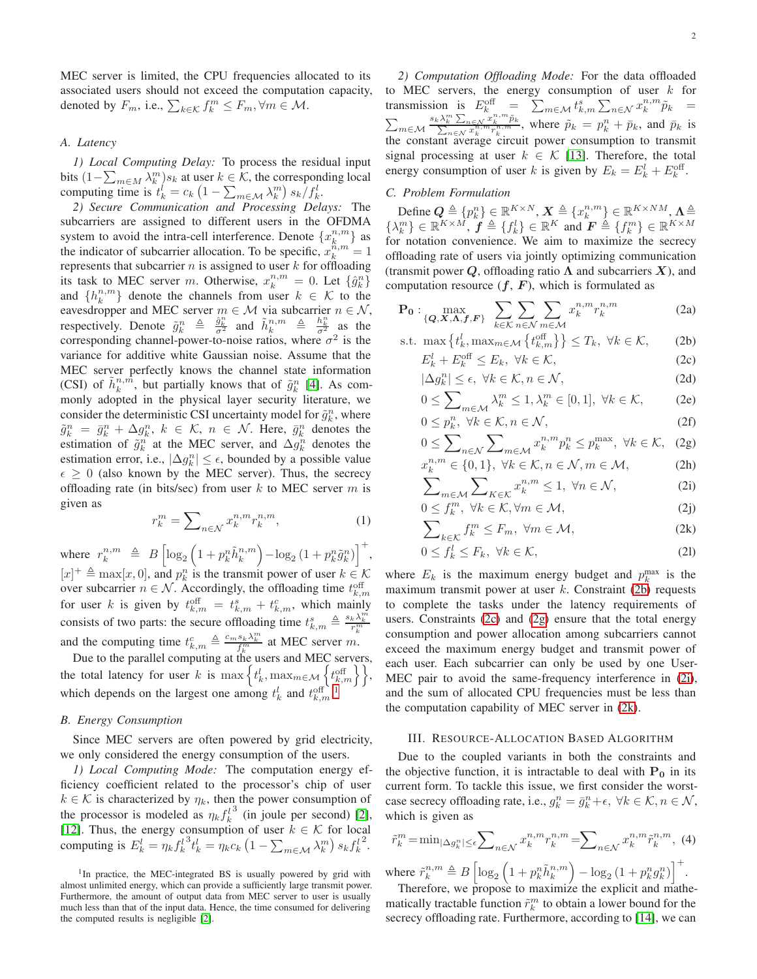MEC server is limited, the CPU frequencies allocated to its associated users should not exceed the computation capacity, denoted by  $F_m$ , i.e.,  $\sum_{k \in \mathcal{K}} f_k^m \leq F_m, \forall m \in \mathcal{M}$ .

## *A. Latency*

*1) Local Computing Delay:* To process the residual input bits  $(1-\sum_{m\in M} \lambda_k^m) s_k$  at user  $k \in \mathcal{K}$ , the corresponding local computing time is  $t_k^l = c_k \left(1 - \sum_{m \in \mathcal{M}} \lambda_k^m \right) s_k / f_k^l$ .

*2) Secure Communication and Processing Delays:* The subcarriers are assigned to different users in the OFDMA system to avoid the intra-cell interference. Denote  $\{x_k^{n,m}\}$  as the indicator of subcarrier allocation. To be specific,  $x_k^{\hat{n},m} = 1$ represents that subcarrier  $n$  is assigned to user  $k$  for offloading its task to MEC server m. Otherwise,  $x_k^{n,m} = 0$ . Let  $\{\hat{g}_k^n\}$ and  $\{h_k^{n,m}\}\$  denote the channels from user  $k \in \mathcal{K}$  to the eavesdropper and MEC server  $m \in \mathcal{M}$  via subcarrier  $n \in \mathcal{N}$ , respectively. Denote  $\tilde{g}_k^n \triangleq \frac{\hat{g}_k^n}{\sigma^2}$  and  $\tilde{h}_k^{n,m} \triangleq \frac{h_k^n}{\sigma^2}$  as the corresponding channel-power-to-noise ratios, where  $\sigma^2$  is the variance for additive white Gaussian noise. Assume that the MEC server perfectly knows the channel state information (CSI) of  $\tilde{h}_k^{n,\tilde{m}}$ , but partially knows that of  $\tilde{g}_k^n$  [\[4\]](#page-4-2). As commonly adopted in the physical layer security literature, we consider the deterministic CSI uncertainty model for  $\tilde{g}_k^n$ , where  $\tilde{g}_k^n = \bar{g}_k^n + \Delta g_k^n$ ,  $k \in \mathcal{K}$ ,  $n \in \mathcal{N}$ . Here,  $\bar{g}_k^n$  denotes the estimation of  $\tilde{g}_k^n$  at the MEC server, and  $\Delta g_k^n$  denotes the estimation error, i.e.,  $|\Delta g_k^n| \leq \epsilon$ , bounded by a possible value  $\epsilon \geq 0$  (also known by the MEC server). Thus, the secrecy offloading rate (in bits/sec) from user  $k$  to MEC server  $m$  is given as

$$
r_k^m = \sum_{n \in \mathcal{N}} x_k^{n, m} r_k^{n, m},\tag{1}
$$

where  $r_k^{n,m} \triangleq B \left[ \log_2 \left( 1 + p_k^n \tilde{h}_k^{n,m} \right) - \log_2 \left( 1 + p_k^n \tilde{g}_k^n \right) \right]^+,$  $[x]^+ \triangleq \max[x, 0]$ , and  $p_k^n$  is the transmit power of user  $k \in \mathcal{K}$ over subcarrier  $n \in \mathcal{N}$ . Accordingly, the offloading time  $t_{k,i}^{\text{off}}$ for user k is given by  $t_{k,m}$  =  $t_{k,m}$  +  $t_{k,m}$ , which mainly consists of two parts: the secure offloading time  $t_{k,m}^s \triangleq \frac{s_k \lambda_k^m}{r_k^m}$ and the computing time  $t_{k,m}^c \triangleq \frac{c_m s_k \lambda_k^m}{f_k^m}$  at MEC server m.

Due to the parallel computing at the users and MEC servers, the total latency for user k is  $\max\left\{t_k^l, \max_{m \in \mathcal{M}}\left\{t_{k,m}^{\text{off}}\right\}\right\},$ which depends on the largest one among  $t_k^l$  and  $t_{k,m}^{\text{off}}$ .

#### *B. Energy Consumption*

Since MEC servers are often powered by grid electricity, we only considered the energy consumption of the users.

*1) Local Computing Mode:* The computation energy efficiency coefficient related to the processor's chip of user  $k \in \mathcal{K}$  is characterized by  $\eta_k$ , then the power consumption of the processor is modeled as  $\eta_k f_k^l$  $3$  (in joule per second) [\[2\]](#page-4-10), [\[12\]](#page-4-11). Thus, the energy consumption of user  $k \in \mathcal{K}$  for local computing is  $E_k^l = \eta_k f_k^l$  ${}^3t_k^l = \stackrel{\_}{\eta_k} c_k \left(1 - \sum_{m \in \mathcal{M}} \lambda_k^m \right) s_k f_k^l$ 2 .

*2) Computation Offloading Mode:* For the data offloaded to MEC servers, the energy consumption of user  $k$  for transmission is  $E_k^{\text{off}} = \sum_{m \in \mathcal{M}} t_{k,m}^s \sum_{n \in \mathcal{N}} x_k^{n,m} \tilde{p}_k =$  $\sum_{m\in\mathcal{M}}$  $\frac{s_k \lambda_k^m \sum_{n \in \mathcal{N}} x_k^{n,m}}{\sum_{n \in \mathcal{N}} x_k^{n,m} r_k^{n,m}}$  $\tilde{p}_k$  $\frac{c}{n} \sum_{n \in \mathcal{N}} \frac{x_k}{n_k} \frac{p_k}{n_k}$ , where  $\tilde{p}_k = p_k^n + \bar{p}_k$ , and  $\bar{p}_k$  is the constant average circuit power consumption to transmit signal processing at user  $k \in \mathcal{K}$  [\[13\]](#page-4-12). Therefore, the total energy consumption of user k is given by  $E_k = E_k^l + E_k^{\text{off}}$ .

# *C. Problem Formulation*

Define  $Q \triangleq \{p_k^n\} \in \mathbb{R}^{K \times N}, X \triangleq \{x_k^{n,m}\} \in \mathbb{R}^{K \times NM}, X \triangleq$  $\{\lambda_k^m\} \in \mathbb{R}^{K \times M}, \mathbf{\hat{f}} \triangleq \{f_k^l\} \in \mathbb{R}^K \text{ and } \mathbf{\hat{F}} \triangleq \{f_k^m\} \in \mathbb{R}^{K \times M}$ for notation convenience. We aim to maximize the secrecy offloading rate of users via jointly optimizing communication (transmit power Q, offloading ratio  $\Lambda$  and subcarriers X), and computation resource  $(f, F)$ , which is formulated as

$$
\mathbf{P_0}: \max_{\{\mathbf{Q}, \mathbf{X}, \mathbf{\Lambda}, \mathbf{f}, \mathbf{F}\}} \sum_{k \in \mathcal{K}} \sum_{n \in \mathcal{N}} \sum_{m \in \mathcal{M}} x_k^{n, m} r_k^{n, m}
$$
 (2a)

s.t. 
$$
\max \{t_k^l, \max_{m \in \mathcal{M}} \{t_{k,m}^{\text{off}}\}\}\leq T_k, \ \forall k \in \mathcal{K},
$$
 (2b)  
 $E_k^l + E_k^{\text{off}} \leq E_k, \ \forall k \in \mathcal{K},$  (2c)

<span id="page-1-7"></span><span id="page-1-2"></span><span id="page-1-1"></span>
$$
|\Delta g_k^n| \le \epsilon, \ \forall k \in \mathcal{K}, n \in \mathcal{N}, \tag{2d}
$$

$$
0 \le \sum_{m \in \mathcal{M}} \lambda_k^m \le 1, \lambda_k^m \in [0, 1], \ \forall k \in \mathcal{K}, \tag{2e}
$$

<span id="page-1-8"></span>
$$
0 \le p_k^n, \ \forall k \in \mathcal{K}, n \in \mathcal{N}, \tag{2f}
$$

$$
0 \leq \sum_{n \in \mathcal{N}} \sum_{n \in \mathcal{M}} x_k^{n, m} p_k^n \leq p_k^{\max}, \ \forall k \in \mathcal{K}, \ \ (2g)
$$

<span id="page-1-9"></span><span id="page-1-4"></span><span id="page-1-3"></span>
$$
x_k^{n,m} \in \{0,1\}, \ \forall k \in \mathcal{K}, n \in \mathcal{N}, m \in \mathcal{M},
$$
  

$$
\sum_{m \in \mathcal{M}} \sum_{K \in \mathcal{K}} x_k^{n,m} \le 1, \ \forall n \in \mathcal{N},
$$
  
(2i)

<span id="page-1-10"></span>
$$
\sum_{m \in \mathcal{M}} \sum_{k \in \mathcal{K}} K_{k} \leq \sum_{k \in \mathcal{K}} K_{k} \leq \sum_{k \in \mathcal{K}} K_{k} \leq \sum_{k \in \mathcal{K}} K_{k} \leq \sum_{k \in \mathcal{K}} K_{k} \leq \sum_{k \in \mathcal{K}} K_{k} \leq \sum_{k \in \mathcal{K}} K_{k} \leq \sum_{k \in \mathcal{K}} K_{k} \leq \sum_{k \in \mathcal{K}} K_{k} \leq \sum_{k \in \mathcal{K}} K_{k} \leq \sum_{k \in \mathcal{K}} K_{k} \leq \sum_{k \in \mathcal{K}} K_{k} \leq \sum_{k \in \mathcal{K}} K_{k} \leq \sum_{k \in \mathcal{K}} K_{k} \leq \sum_{k \in \mathcal{K}} K_{k} \leq \sum_{k \in \mathcal{K}} K_{k} \leq \sum_{k \in \mathcal{K}} K_{k} \leq \sum_{k \in \mathcal{K}} K_{k} \leq \sum_{k \in \mathcal{K}} K_{k} \leq \sum_{k \in \mathcal{K}} K_{k} \leq \sum_{k \in \mathcal{K}} K_{k} \leq \sum_{k \in \mathcal{K}} K_{k} \leq \sum_{k \in \mathcal{K}} K_{k} \leq \sum_{k \in \mathcal{K}} K_{k} \leq \sum_{k \in \mathcal{K}} K_{k} \leq \sum_{k \in \mathcal{K}} K_{k} \leq \sum_{k \in \mathcal{K}} K_{k} \leq \sum_{k \in \mathcal{K}} K_{k} \leq \sum_{k \in \mathcal{K}} K_{k} \leq \sum_{k \in \mathcal{K}} K_{k} \leq \sum_{k \in \mathcal{K}} K_{k} \leq \sum_{k \in \mathcal{K}} K_{k} \leq \sum_{k \in \mathcal{K}} K_{k} \leq \sum_{k \in \mathcal{K}} K_{k} \leq \sum_{k \in \mathcal{K}} K_{k} \leq \sum_{k \in \mathcal{K}} K_{k} \leq \sum_{k \in \mathcal{K}} K_{k} \leq \sum_{k \in \mathcal{K}} K_{k} \leq \sum_{k \in \mathcal{K}} K_{k} \leq \sum_{k \in \
$$

<span id="page-1-5"></span>
$$
\sum_{k \in \mathcal{K}} f_k^m \le F_m, \ \forall m \in \mathcal{M}, \tag{2k}
$$

<span id="page-1-6"></span>
$$
0 \le f_k^l \le F_k, \ \forall k \in \mathcal{K}, \tag{21}
$$

where  $E_k$  is the maximum energy budget and  $p_k^{\max}$  is the maximum transmit power at user  $k$ . Constraint [\(2b\)](#page-1-1) requests to complete the tasks under the latency requirements of users. Constraints [\(2c\)](#page-1-2) and [\(2g\)](#page-1-3) ensure that the total energy consumption and power allocation among subcarriers cannot exceed the maximum energy budget and transmit power of each user. Each subcarrier can only be used by one User-MEC pair to avoid the same-frequency interference in [\(2i\)](#page-1-4), and the sum of allocated CPU frequencies must be less than the computation capability of MEC server in [\(2k\)](#page-1-5).

#### III. RESOURCE-ALLOCATION BASED ALGORITHM

Due to the coupled variants in both the constraints and the objective function, it is intractable to deal with  $P_0$  in its current form. To tackle this issue, we first consider the worstcase secrecy offloading rate, i.e.,  $g_k^n = \bar{g}_k^n + \epsilon$ ,  $\forall k \in \mathcal{K}, n \in \mathcal{N}$ , which is given as

$$
\tilde{r}_k^m = \min_{|\Delta g_k^n| \le \epsilon} \sum_{n \in \mathcal{N}} x_k^{n, m} r_k^{n, m} = \sum_{n \in \mathcal{N}} x_k^{n, m} \tilde{r}_k^{n, m}, \tag{4}
$$

where  $\tilde{r}_k^{n,m} \triangleq B \left[ \log_2 \left( 1 + p_k^n \tilde{h}_k^{n,m} \right) - \log_2 \left( 1 + p_k^n g_k^n \right) \right]^+$ . Therefore, we propose to maximize the explicit and mathe-

matically tractable function  $\tilde{r}_k^m$  to obtain a lower bound for the secrecy offloading rate. Furthermore, according to [\[14\]](#page-4-13), we can

<span id="page-1-0"></span><sup>&</sup>lt;sup>1</sup>In practice, the MEC-integrated BS is usually powered by grid with almost unlimited energy, which can provide a sufficiently large transmit power. Furthermore, the amount of output data from MEC server to user is usually much less than that of the input data. Hence, the time consumed for delivering the computed results is negligible [\[2\]](#page-4-10).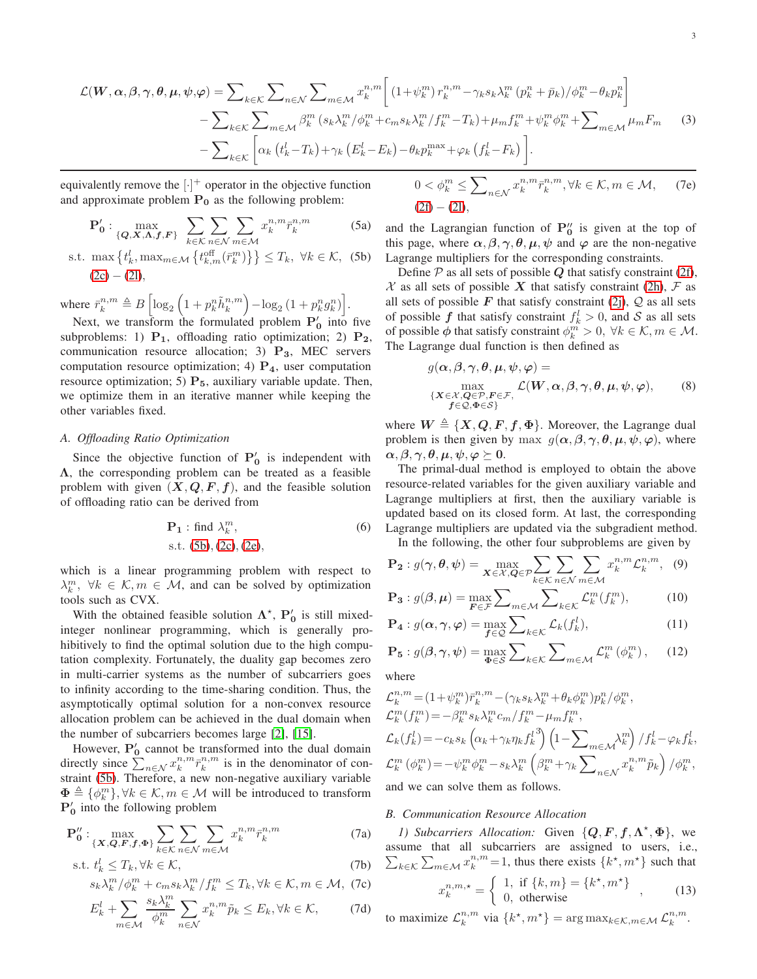$$
\mathcal{L}(\boldsymbol{W}, \boldsymbol{\alpha}, \boldsymbol{\beta}, \boldsymbol{\gamma}, \boldsymbol{\theta}, \boldsymbol{\mu}, \boldsymbol{\psi}, \boldsymbol{\varphi}) = \sum_{k \in \mathcal{K}} \sum_{n \in \mathcal{N}} \sum_{m \in \mathcal{M}} x_k^{n, m} \bigg[ (1 + \psi_k^m) r_k^{n, m} - \gamma_k s_k \lambda_k^m (p_k^n + \bar{p}_k) / \phi_k^m - \theta_k p_k^n \bigg] - \sum_{k \in \mathcal{K}} \sum_{m \in \mathcal{M}} \beta_k^m (s_k \lambda_k^m / \phi_k^m + c_m s_k \lambda_k^m / f_k^m - T_k) + \mu_m f_k^m + \psi_k^m \phi_k^m + \sum_{m \in \mathcal{M}} \mu_m F_m \qquad (3)
$$

$$
- \sum_{k \in \mathcal{K}} \bigg[ \alpha_k (t_k^l - T_k) + \gamma_k (E_k^l - E_k) - \theta_k p_k^{\max} + \varphi_k (f_k^l - F_k) \bigg].
$$

equivalently remove the  $[\cdot]^+$  operator in the objective function and approximate problem  $P_0$  as the following problem:

$$
\mathbf{P}'_0: \max_{\{\mathbf{Q}, \mathbf{X}, \mathbf{\Lambda}, \mathbf{f}, \mathbf{F}\}} \sum_{k \in \mathcal{K}} \sum_{n \in \mathcal{N}} \sum_{m \in \mathcal{M}} x_k^{n, m} \overline{r}_k^{n, m}
$$
(5a)

s.t. 
$$
\max \{t_k^l, \max_{m \in \mathcal{M}} \{t_{k,m}^{\text{off}}(\bar{r}_k^m)\}\} \leq T_k, \ \forall k \in \mathcal{K}, \ \text{(5b)}\\ (2c) - (2l),
$$

where  $\bar{r}_k^{n,m} \triangleq B \left[ \log_2 \left( 1 + p_k^n \tilde{h}_k^{n,m} \right) - \log_2 \left( 1 + p_k^n g_k^n \right) \right]$ .

Next, we transform the formulated problem  $P'_0$  into five subproblems: 1)  $P_1$ , offloading ratio optimization; 2)  $P_2$ , communication resource allocation; 3)  $P_3$ , MEC servers computation resource optimization; 4)  $P_4$ , user computation resource optimization; 5)  $P_5$ , auxiliary variable update. Then, we optimize them in an iterative manner while keeping the other variables fixed.

#### *A. Offloading Ratio Optimization*

Since the objective function of  $P'_0$  is independent with  $\Lambda$ , the corresponding problem can be treated as a feasible problem with given  $(X, Q, F, f)$ , and the feasible solution of offloading ratio can be derived from

$$
\mathbf{P}_1: \text{find } \lambda_k^m,
$$
  
s.t. (5b), (2c), (2e), (2e),

which is a linear programming problem with respect to  $\lambda_k^m$ ,  $\forall k \in \mathcal{K}, m \in \mathcal{M}$ , and can be solved by optimization tools such as CVX.

With the obtained feasible solution  $\Lambda^*$ ,  $P'_0$  is still mixedinteger nonlinear programming, which is generally prohibitively to find the optimal solution due to the high computation complexity. Fortunately, the duality gap becomes zero in multi-carrier systems as the number of subcarriers goes to infinity according to the time-sharing condition. Thus, the asymptotically optimal solution for a non-convex resource allocation problem can be achieved in the dual domain when the number of subcarriers becomes large [\[2\]](#page-4-10), [\[15\]](#page-4-14).

However,  $P'_0$  cannot be transformed into the dual domain directly since  $\sum_{n \in \mathcal{N}} x_k^{n,m} \bar{r}_k^{n,m}$  is in the denominator of constraint [\(5b\)](#page-2-0). Therefore, a new non-negative auxiliary variable  $\Phi \triangleq {\phi_k^m}$ ,  $\forall k \in \mathcal{K}, m \in \mathcal{M}$  will be introduced to transform  $P'_0$  into the following problem

$$
\mathbf{P}_{\mathbf{0}}^{"}: \max_{\{\mathbf{X},\mathbf{Q},\mathbf{F},\mathbf{f},\mathbf{\Phi}\}} \sum_{k\in\mathcal{K}} \sum_{n\in\mathcal{N}} \sum_{m\in\mathcal{M}} x_{k}^{n,m} \bar{r}_{k}^{n,m}
$$
(7a)

$$
\text{s.t. } t_k^l \le T_k, \forall k \in \mathcal{K},\tag{7b}
$$

$$
s_k \lambda_k^m / \phi_k^m + c_m s_k \lambda_k^m / f_k^m \le T_k, \forall k \in \mathcal{K}, m \in \mathcal{M}, \text{ (7c)}
$$

$$
E_k^l + \sum_{m \in \mathcal{M}} \frac{s_k \lambda_k^m}{\phi_k^m} \sum_{n \in \mathcal{N}} x_k^{n,m} \tilde{p}_k \le E_k, \forall k \in \mathcal{K},\tag{7d}
$$

$$
0 < \phi_k^m \le \sum_{n \in \mathcal{N}} x_k^{n, m} \bar{r}_k^{n, m}, \forall k \in \mathcal{K}, m \in \mathcal{M}, \quad (7e)
$$
\n
$$
(2f) - (2l),
$$

and the Lagrangian function of  $P_0''$  is given at the top of this page, where  $\alpha$ ,  $\beta$ ,  $\gamma$ ,  $\theta$ ,  $\mu$ ,  $\psi$  and  $\varphi$  are the non-negative Lagrange multipliers for the corresponding constraints.

<span id="page-2-0"></span>Define  $P$  as all sets of possible  $Q$  that satisfy constraint [\(2f\)](#page-1-8),  $X$  as all sets of possible X that satisfy constraint [\(2h\)](#page-1-9),  $\mathcal F$  as all sets of possible F that satisfy constraint [\(2j\)](#page-1-10),  $Q$  as all sets of possible  $f$  that satisfy constraint  $f_k^l > 0$ , and  $S$  as all sets of possible  $\phi$  that satisfy constraint  $\phi_k^m > 0$ ,  $\forall k \in \mathcal{K}, m \in \mathcal{M}$ . The Lagrange dual function is then defined as

$$
g(\alpha, \beta, \gamma, \theta, \mu, \psi, \varphi) =
$$
  
\n
$$
\max_{\{X \in \mathcal{X}, Q \in \mathcal{P}, F \in \mathcal{F}, \atop f \in \mathcal{Q}, \Phi \in \mathcal{S}\}} \mathcal{L}(W, \alpha, \beta, \gamma, \theta, \mu, \psi, \varphi),
$$
 (8)

where  $W \triangleq \{X, Q, F, f, \Phi\}$ . Moreover, the Lagrange dual problem is then given by max  $g(\alpha, \beta, \gamma, \theta, \mu, \psi, \varphi)$ , where  $\alpha, \beta, \gamma, \theta, \mu, \psi, \varphi \succeq 0.$ 

The primal-dual method is employed to obtain the above resource-related variables for the given auxiliary variable and Lagrange multipliers at first, then the auxiliary variable is updated based on its closed form. At last, the corresponding Lagrange multipliers are updated via the subgradient method.

In the following, the other four subproblems are given by

$$
\mathbf{P_2}: g(\gamma, \theta, \psi) = \max_{\mathbf{X} \in \mathcal{X}, \mathbf{Q} \in \mathcal{P}} \sum_{k \in \mathcal{K}} \sum_{n \in \mathcal{N}} \sum_{m \in \mathcal{M}} x_k^{n, m} \mathcal{L}_k^{n, m}, \quad (9)
$$

$$
\mathbf{P_3}: g(\boldsymbol{\beta}, \boldsymbol{\mu}) = \max_{\boldsymbol{F} \in \mathcal{F}} \sum_{m \in \mathcal{M}} \sum_{k \in \mathcal{K}} \mathcal{L}_k^m(f_k^m), \tag{10}
$$

$$
\mathbf{P}_4: g(\alpha, \gamma, \varphi) = \max_{f \in \mathcal{Q}} \sum_{k \in \mathcal{K}} \mathcal{L}_k(f_k^l), \tag{11}
$$

$$
\mathbf{P_5}: g(\boldsymbol{\beta}, \boldsymbol{\gamma}, \boldsymbol{\psi}) = \max_{\boldsymbol{\Phi} \in \mathcal{S}} \sum_{k \in \mathcal{K}} \sum_{m \in \mathcal{M}} \mathcal{L}_k^m \left( \phi_k^m \right), \qquad (12)
$$

where

$$
\begin{split} &\mathcal{L}_k^{n,m} \!=\! \left(1\!+\!\psi_k^m\right) &\bar{r}_k^{n,m} \!-\! (\gamma_k s_k \lambda_k^m \!+\! \theta_k \phi_k^m) p_k^n / \phi_k^m, \\ &\mathcal{L}_k^m (f_k^m) \!=\! -\beta_k^m s_k \lambda_k^m c_m / f_k^m \!-\! \mu_m f_k^m, \\ &\mathcal{L}_k (f_k^l) \!=\! -c_k s_k \left(\!\alpha_k \!+\! \gamma_k \eta_k f_k^l\right) \left(1 \!-\! \sum_{m \in \mathcal{M}} \!\! \lambda_k^m\right) / f_k^l \!-\! \varphi_k f_k^l, \\ &\mathcal{L}_k^m \left(\phi_k^m\right) \!=\! -\psi_k^m \phi_k^m \!-\! s_k \lambda_k^m \left(\beta_k^m \!+\! \gamma_k \sum_{n \in \mathcal{N}} x_k^{n,m} \tilde{p}_k\right) / \phi_k^m, \end{split}
$$
 and we can solve them as follows

and we can solve them as follows.

#### *B. Communication Resource Allocation*

*1)* Subcarriers Allocation: Given  $\{Q, F, f, \Lambda^*, \Phi\}$ , we assume that all subcarriers are assigned to users, i.e.,  $\sum_{k \in \mathcal{K}} \sum_{m \in \mathcal{M}} x_k^{n,m} = 1$ , thus there exists  $\{k^*, m^*\}$  such that

<span id="page-2-1"></span>
$$
x_k^{n,m,*} = \begin{cases} 1, & \text{if } \{k,m\} = \{k^*, m^*\} \\ 0, & \text{otherwise} \end{cases}, \tag{13}
$$

to maximize  $\mathcal{L}_k^{n,m}$  via  $\{k^\star, m^\star\} = \arg \max_{k \in \mathcal{K}, m \in \mathcal{M}} \mathcal{L}_k^{n,m}$ .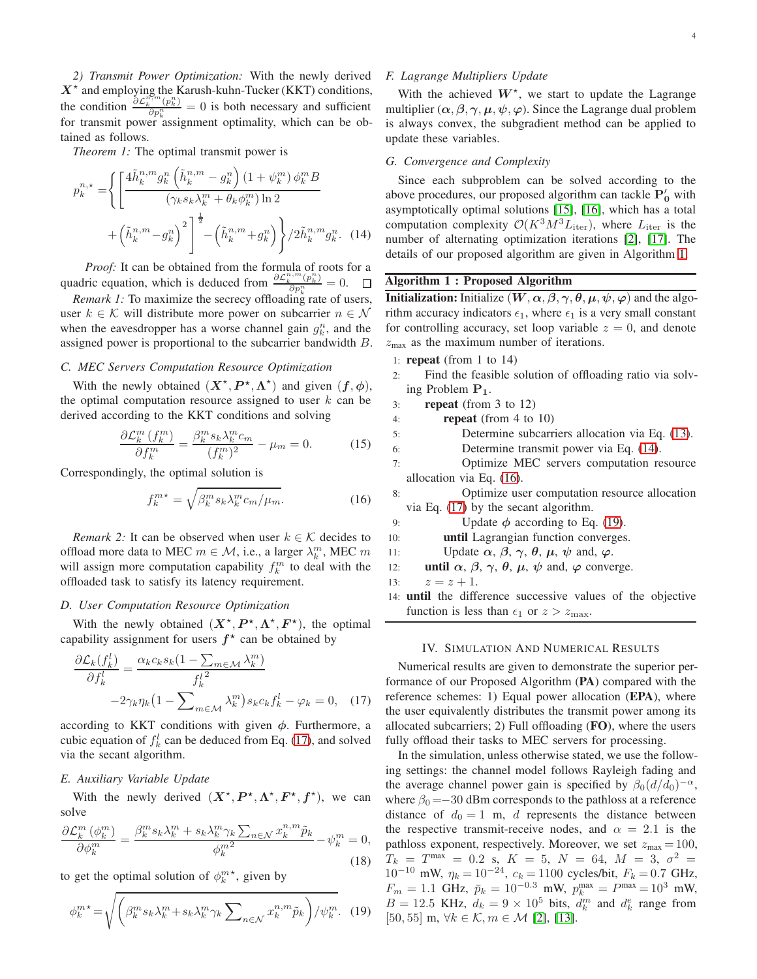*2) Transmit Power Optimization:* With the newly derived  $X^*$  and employing the Karush-kuhn-Tucker (KKT) conditions, the condition  $\frac{\partial \mathcal{L}_k^{n,m}(p_k^n)}{\partial p_k^n} = 0$  is both necessary and sufficient for transmit power assignment optimality, which can be obtained as follows.

*Theorem 1:* The optimal transmit power is

$$
p_k^{n,*} = \left\{ \left[ \frac{4\tilde{h}_k^{n,m} g_k^n \left( \tilde{h}_k^{n,m} - g_k^n \right) (1 + \psi_k^m) \phi_k^m B}{(\gamma_k s_k \lambda_k^m + \theta_k \phi_k^m) \ln 2} + \left( \tilde{h}_k^{n,m} - g_k^n \right)^2 \right]^{\frac{1}{2}} - \left( \tilde{h}_k^{n,m} + g_k^n \right) \right\} / 2\tilde{h}_k^{n,m} g_k^n. (14)
$$

*Proof:* It can be obtained from the formula of roots for a quadric equation, which is deduced from  $\frac{\partial \mathcal{L}_k^{n,m}(p_k^n)}{\partial p_k^n} = 0$ .

*Remark 1:* To maximize the secrecy offloading rate of users, user  $k \in \mathcal{K}$  will distribute more power on subcarrier  $n \in \mathcal{N}$ when the eavesdropper has a worse channel gain  $g_k^n$ , and the assigned power is proportional to the subcarrier bandwidth B.

### *C. MEC Servers Computation Resource Optimization*

With the newly obtained  $(X^*, P^*, \Lambda^*)$  and given  $(f, \phi)$ , the optimal computation resource assigned to user  $k$  can be derived according to the KKT conditions and solving

$$
\frac{\partial \mathcal{L}_k^m \left( f_k^m \right)}{\partial f_k^m} = \frac{\beta_k^m s_k \lambda_k^m c_m}{(f_k^m)^2} - \mu_m = 0. \tag{15}
$$

Correspondingly, the optimal solution is

<span id="page-3-3"></span>
$$
f_k^{m*} = \sqrt{\beta_k^m s_k \lambda_k^m c_m / \mu_m}.
$$
 (16)

*Remark 2:* It can be observed when user  $k \in \mathcal{K}$  decides to offload more data to MEC  $m \in \mathcal{M}$ , i.e., a larger  $\lambda_k^m$ , MEC m will assign more computation capability  $f_k^m$  to deal with the offloaded task to satisfy its latency requirement.

#### *D. User Computation Resource Optimization*

With the newly obtained  $(X^*, P^*, \Lambda^*, F^*)$ , the optimal capability assignment for users  $f^*$  can be obtained by

$$
\frac{\partial \mathcal{L}_k(f_k^l)}{\partial f_k^l} = \frac{\alpha_k c_k s_k (1 - \sum_{m \in \mathcal{M}} \lambda_k^m)}{f_k^{l^2}} - 2\gamma_k \eta_k (1 - \sum_{m \in \mathcal{M}} \lambda_k^m) s_k c_k f_k^l - \varphi_k = 0, \quad (17)
$$

according to KKT conditions with given  $\phi$ . Furthermore, a cubic equation of  $f_k^l$  can be deduced from Eq. [\(17\)](#page-3-0), and solved via the secant algorithm.

#### *E. Auxiliary Variable Update*

With the newly derived  $(X^*, P^*, \Lambda^*, F^*, f^*)$ , we can solve

$$
\frac{\partial \mathcal{L}_k^m(\phi_k^m)}{\partial \phi_k^m} = \frac{\beta_k^m s_k \lambda_k^m + s_k \lambda_k^m \gamma_k \sum_{n \in \mathcal{N}} x_k^{n,m} \tilde{p}_k}{\phi_k^{m^2}} - \psi_k^m = 0,
$$
\n(18)

to get the optimal solution of  $\phi_k^m$ <sup>\*</sup>, given by

<span id="page-3-4"></span>
$$
\phi_k^{m*} = \sqrt{\left(\beta_k^m s_k \lambda_k^m + s_k \lambda_k^m \gamma_k \sum_{n \in \mathcal{N}} x_k^{n,m} \tilde{p}_k\right) / \psi_k^m}.\tag{19}
$$

# *F. Lagrange Multipliers Update*

With the achieved  $W^*$ , we start to update the Lagrange multiplier  $(\alpha, \beta, \gamma, \mu, \psi, \varphi)$ . Since the Lagrange dual problem is always convex, the subgradient method can be applied to update these variables.

## *G. Convergence and Complexity*

<span id="page-3-2"></span>Since each subproblem can be solved according to the above procedures, our proposed algorithm can tackle  $P'_0$  with asymptotically optimal solutions [\[15\]](#page-4-14), [\[16\]](#page-4-15), which has a total computation complexity  $\mathcal{O}(K^3M^3L_{\text{iter}})$ , where  $L_{\text{iter}}$  is the number of alternating optimization iterations [\[2\]](#page-4-10), [\[17\]](#page-4-16). The details of our proposed algorithm are given in Algorithm [1.](#page-3-1)

# <span id="page-3-1"></span>Algorithm 1 : Proposed Algorithm

**Initialization:** Initialize  $(W, \alpha, \beta, \gamma, \theta, \mu, \psi, \varphi)$  and the algorithm accuracy indicators  $\epsilon_1$ , where  $\epsilon_1$  is a very small constant for controlling accuracy, set loop variable  $z = 0$ , and denote  $z_{\text{max}}$  as the maximum number of iterations.

- 1: **repeat** (from 1 to  $14$ )
- 2: Find the feasible solution of offloading ratio via solving Problem P1.
- 3: **repeat** (from 3 to 12)
- 4: repeat (from 4 to 10)
- 5: Determine subcarriers allocation via Eq. [\(13\)](#page-2-1).
- 6: Determine transmit power via Eq. [\(14\)](#page-3-2).
- 7: Optimize MEC servers computation resource allocation via Eq. [\(16\)](#page-3-3).
- 8: Optimize user computation resource allocation via Eq. [\(17\)](#page-3-0) by the secant algorithm.
- 9: Update  $\phi$  according to Eq. [\(19\)](#page-3-4).
- 10: until Lagrangian function converges.
- 11: Update  $\alpha$ ,  $\beta$ ,  $\gamma$ ,  $\theta$ ,  $\mu$ ,  $\psi$  and,  $\varphi$ .
- 12: **until**  $\alpha$ ,  $\beta$ ,  $\gamma$ ,  $\theta$ ,  $\mu$ ,  $\psi$  and,  $\varphi$  converge.
- 13:  $z = z + 1$ .
- 14: until the difference successive values of the objective function is less than  $\epsilon_1$  or  $z > z_{\text{max}}$ .

#### IV. SIMULATION AND NUMERICAL RESULTS

<span id="page-3-0"></span>Numerical results are given to demonstrate the superior performance of our Proposed Algorithm (PA) compared with the reference schemes: 1) Equal power allocation (EPA), where the user equivalently distributes the transmit power among its allocated subcarriers; 2) Full offloading  $(FO)$ , where the users fully offload their tasks to MEC servers for processing.

In the simulation, unless otherwise stated, we use the following settings: the channel model follows Rayleigh fading and the average channel power gain is specified by  $\beta_0(d/d_0)^{-\alpha}$ , where  $\beta_0 = -30$  dBm corresponds to the pathloss at a reference distance of  $d_0 = 1$  m, d represents the distance between the respective transmit-receive nodes, and  $\alpha = 2.1$  is the pathloss exponent, respectively. Moreover, we set  $z_{\text{max}} = 100$ ,  $T_k$  =  $T^{\max}$  = 0.2 s,  $K$  = 5,  $N$  = 64,  $M$  = 3,  $\sigma^2$  = 10<sup>-10</sup> mW,  $\eta_k = 10^{-24}$ ,  $c_k = 1100$  cycles/bit,  $F_k = 0.7$  GHz,  $F_m = 1.1 \text{ GHz}, \ \bar{p}_k = 10^{-0.3} \text{ mW}, \ p_k^{\text{max}} = P^{\text{max}} = 10^3 \text{ mW},$  $B = 12.5$  KHz,  $d_k = 9 \times 10^5$  bits,  $d_k^m$  and  $d_k^e$  range from [50, 55] m,  $\forall k \in \mathcal{K}, m \in \mathcal{M}$  [\[2\]](#page-4-10), [\[13\]](#page-4-12).